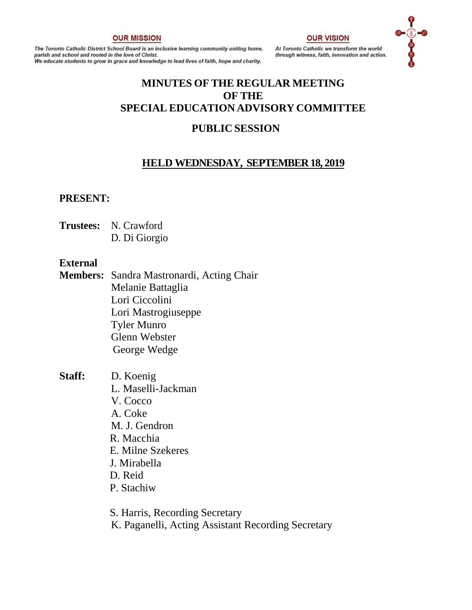#### **OUR MISSION**

The Toronto Catholic District School Board is an inclusive learning community uniting home, parish and school and rooted in the love of Christ. .<br>We educate students to grow in grace and knowledge to lead lives of faith, hope and charity.

#### **OUR VISION**

At Toronto Catholic we transform the world through witness, faith, innovation and action.



# **MINUTES OF THE REGULAR MEETING OF THE SPECIAL EDUCATION ADVISORY COMMITTEE**

# **PUBLIC SESSION**

# **HELD WEDNESDAY, SEPTEMBER 18, 2019**

#### **PRESENT:**

**Trustees:** N. Crawford D. Di Giorgio

#### **External**

- **Members:** Sandra Mastronardi, Acting Chair Melanie Battaglia Lori Ciccolini Lori Mastrogiuseppe Tyler Munro Glenn Webster George Wedge
- **Staff:** D. Koenig L. Maselli-Jackman V. Cocco A. Coke M. J. Gendron R. Macchia E. Milne Szekeres J. Mirabella D. Reid P. Stachiw
	- S. Harris, Recording Secretary K. Paganelli, Acting Assistant Recording Secretary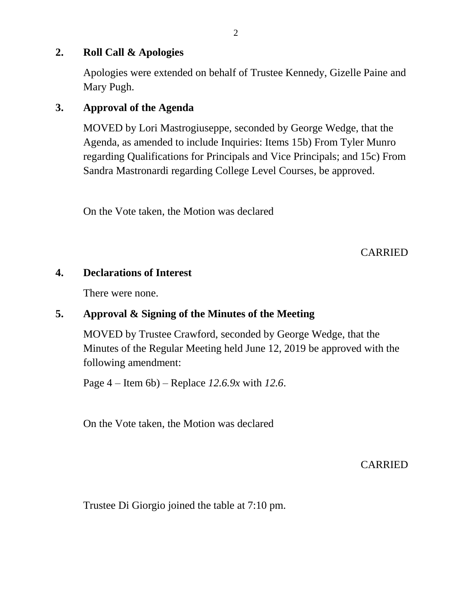## **2. Roll Call & Apologies**

Apologies were extended on behalf of Trustee Kennedy, Gizelle Paine and Mary Pugh.

# **3. Approval of the Agenda**

MOVED by Lori Mastrogiuseppe, seconded by George Wedge, that the Agenda, as amended to include Inquiries: Items 15b) From Tyler Munro regarding Qualifications for Principals and Vice Principals; and 15c) From Sandra Mastronardi regarding College Level Courses, be approved.

On the Vote taken, the Motion was declared

CARRIED

# **4. Declarations of Interest**

There were none.

# **5. Approval & Signing of the Minutes of the Meeting**

MOVED by Trustee Crawford, seconded by George Wedge, that the Minutes of the Regular Meeting held June 12, 2019 be approved with the following amendment:

Page 4 – Item 6b) – Replace *12.6.9x* with *12.6*.

On the Vote taken, the Motion was declared

CARRIED

Trustee Di Giorgio joined the table at 7:10 pm.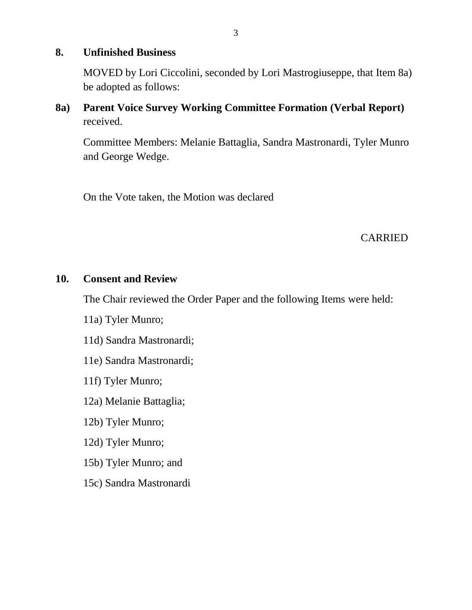### **8. Unfinished Business**

MOVED by Lori Ciccolini, seconded by Lori Mastrogiuseppe, that Item 8a) be adopted as follows:

**8a) Parent Voice Survey Working Committee Formation (Verbal Report)**  received.

Committee Members: Melanie Battaglia, Sandra Mastronardi, Tyler Munro and George Wedge.

On the Vote taken, the Motion was declared

### CARRIED

#### **10. Consent and Review**

The Chair reviewed the Order Paper and the following Items were held:

- 11a) Tyler Munro;
- 11d) Sandra Mastronardi;
- 11e) Sandra Mastronardi;
- 11f) Tyler Munro;
- 12a) Melanie Battaglia;
- 12b) Tyler Munro;
- 12d) Tyler Munro;
- 15b) Tyler Munro; and
- 15c) Sandra Mastronardi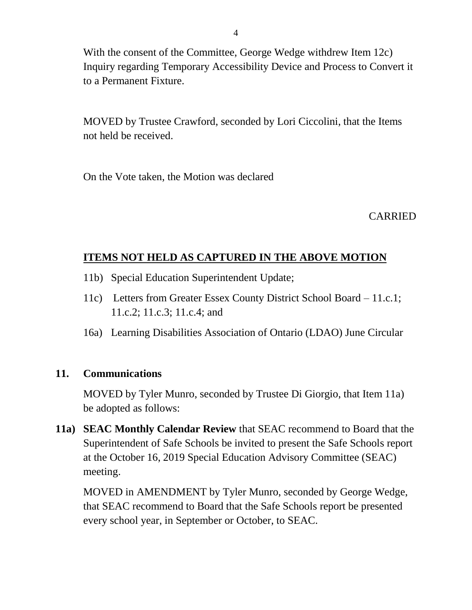With the consent of the Committee, George Wedge withdrew Item 12c) Inquiry regarding Temporary Accessibility Device and Process to Convert it to a Permanent Fixture.

MOVED by Trustee Crawford, seconded by Lori Ciccolini, that the Items not held be received.

On the Vote taken, the Motion was declared

CARRIED

# **ITEMS NOT HELD AS CAPTURED IN THE ABOVE MOTION**

- 11b) Special Education Superintendent Update;
- 11c) Letters from Greater Essex County District School Board 11.c.1; 11.c.2; 11.c.3; 11.c.4; and
- 16a) Learning Disabilities Association of Ontario (LDAO) June Circular

# **11. Communications**

MOVED by Tyler Munro, seconded by Trustee Di Giorgio, that Item 11a) be adopted as follows:

**11a) SEAC Monthly Calendar Review** that SEAC recommend to Board that the Superintendent of Safe Schools be invited to present the Safe Schools report at the October 16, 2019 Special Education Advisory Committee (SEAC) meeting.

MOVED in AMENDMENT by Tyler Munro, seconded by George Wedge, that SEAC recommend to Board that the Safe Schools report be presented every school year, in September or October, to SEAC.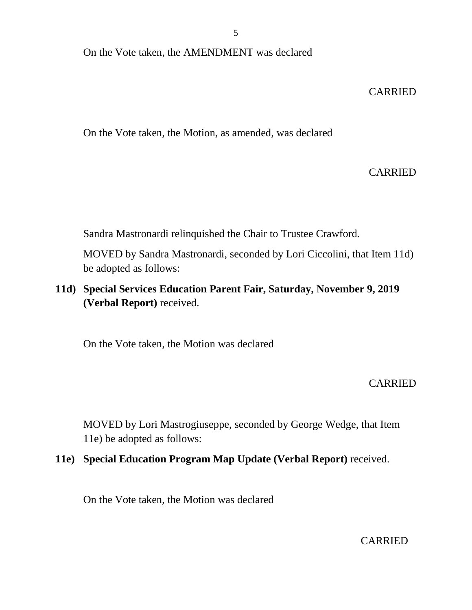On the Vote taken, the AMENDMENT was declared

### CARRIED

On the Vote taken, the Motion, as amended, was declared

### CARRIED

Sandra Mastronardi relinquished the Chair to Trustee Crawford.

MOVED by Sandra Mastronardi, seconded by Lori Ciccolini, that Item 11d) be adopted as follows:

**11d) Special Services Education Parent Fair, Saturday, November 9, 2019 (Verbal Report)** received.

On the Vote taken, the Motion was declared

### CARRIED

MOVED by Lori Mastrogiuseppe, seconded by George Wedge, that Item 11e) be adopted as follows:

## **11e) Special Education Program Map Update (Verbal Report)** received.

On the Vote taken, the Motion was declared

CARRIED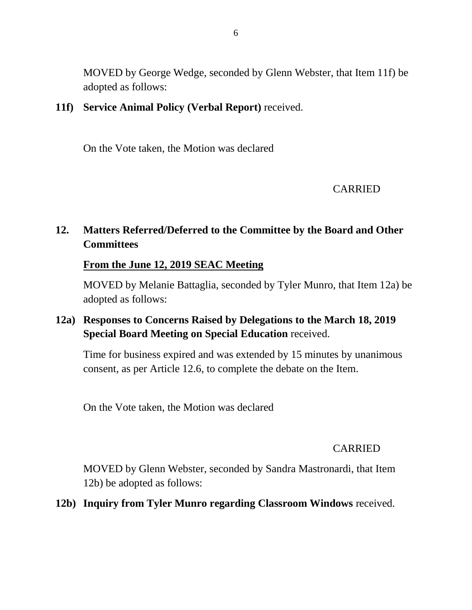MOVED by George Wedge, seconded by Glenn Webster, that Item 11f) be adopted as follows:

# **11f) Service Animal Policy (Verbal Report)** received.

On the Vote taken, the Motion was declared

### CARRIED

# **12. Matters Referred/Deferred to the Committee by the Board and Other Committees**

### **From the June 12, 2019 SEAC Meeting**

MOVED by Melanie Battaglia, seconded by Tyler Munro, that Item 12a) be adopted as follows:

# **12a) Responses to Concerns Raised by Delegations to the March 18, 2019 Special Board Meeting on Special Education** received.

Time for business expired and was extended by 15 minutes by unanimous consent, as per Article 12.6, to complete the debate on the Item.

On the Vote taken, the Motion was declared

### CARRIED

MOVED by Glenn Webster, seconded by Sandra Mastronardi, that Item 12b) be adopted as follows:

**12b) Inquiry from Tyler Munro regarding Classroom Windows** received.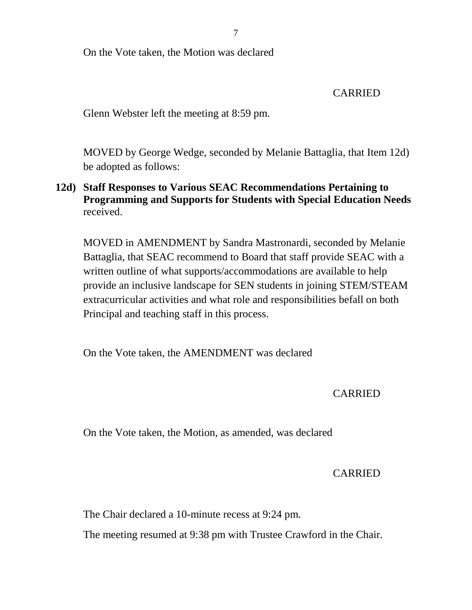On the Vote taken, the Motion was declared

CARRIED

Glenn Webster left the meeting at 8:59 pm.

MOVED by George Wedge, seconded by Melanie Battaglia, that Item 12d) be adopted as follows:

**12d) Staff Responses to Various SEAC Recommendations Pertaining to Programming and Supports for Students with Special Education Needs** received.

MOVED in AMENDMENT by Sandra Mastronardi, seconded by Melanie Battaglia, that SEAC recommend to Board that staff provide SEAC with a written outline of what supports/accommodations are available to help provide an inclusive landscape for SEN students in joining STEM/STEAM extracurricular activities and what role and responsibilities befall on both Principal and teaching staff in this process.

On the Vote taken, the AMENDMENT was declared

CARRIED

On the Vote taken, the Motion, as amended, was declared

# CARRIED

The Chair declared a 10-minute recess at 9:24 pm.

The meeting resumed at 9:38 pm with Trustee Crawford in the Chair.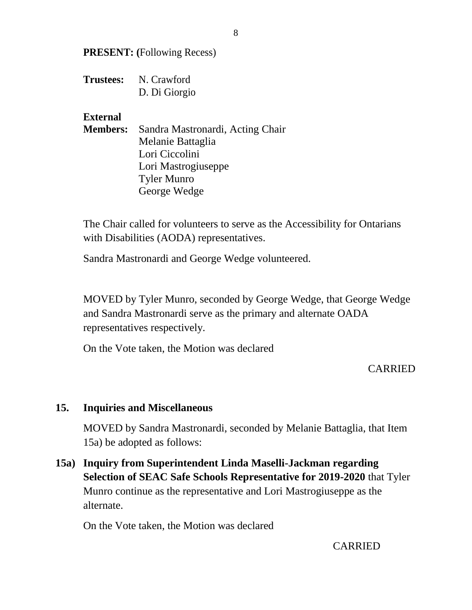**PRESENT: (**Following Recess)

**Trustees:** N. Crawford D. Di Giorgio

### **External**

**Members:** Sandra Mastronardi, Acting Chair Melanie Battaglia Lori Ciccolini Lori Mastrogiuseppe Tyler Munro George Wedge

The Chair called for volunteers to serve as the Accessibility for Ontarians with Disabilities (AODA) representatives.

Sandra Mastronardi and George Wedge volunteered.

MOVED by Tyler Munro, seconded by George Wedge, that George Wedge and Sandra Mastronardi serve as the primary and alternate OADA representatives respectively.

On the Vote taken, the Motion was declared

# CARRIED

#### **15. Inquiries and Miscellaneous**

MOVED by Sandra Mastronardi, seconded by Melanie Battaglia, that Item 15a) be adopted as follows:

**15a) Inquiry from Superintendent Linda Maselli-Jackman regarding Selection of SEAC Safe Schools Representative for 2019-2020** that Tyler Munro continue as the representative and Lori Mastrogiuseppe as the alternate.

On the Vote taken, the Motion was declared

8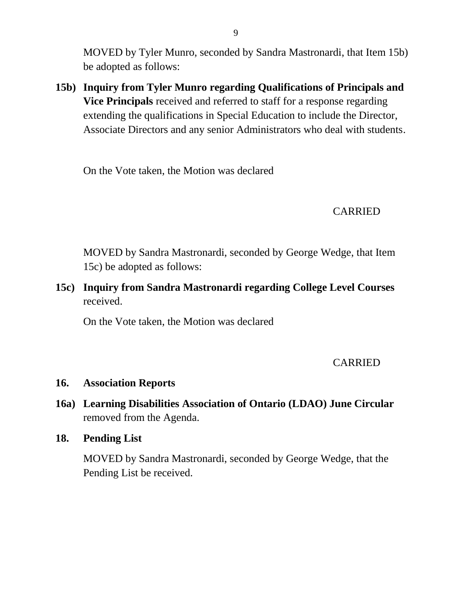MOVED by Tyler Munro, seconded by Sandra Mastronardi, that Item 15b) be adopted as follows:

**15b) Inquiry from Tyler Munro regarding Qualifications of Principals and Vice Principals** received and referred to staff for a response regarding extending the qualifications in Special Education to include the Director, Associate Directors and any senior Administrators who deal with students.

On the Vote taken, the Motion was declared

# CARRIED

MOVED by Sandra Mastronardi, seconded by George Wedge, that Item 15c) be adopted as follows:

**15c) Inquiry from Sandra Mastronardi regarding College Level Courses**  received.

On the Vote taken, the Motion was declared

### CARRIED

### **16. Association Reports**

- **16a) Learning Disabilities Association of Ontario (LDAO) June Circular**  removed from the Agenda.
- **18. Pending List**

MOVED by Sandra Mastronardi, seconded by George Wedge, that the Pending List be received.